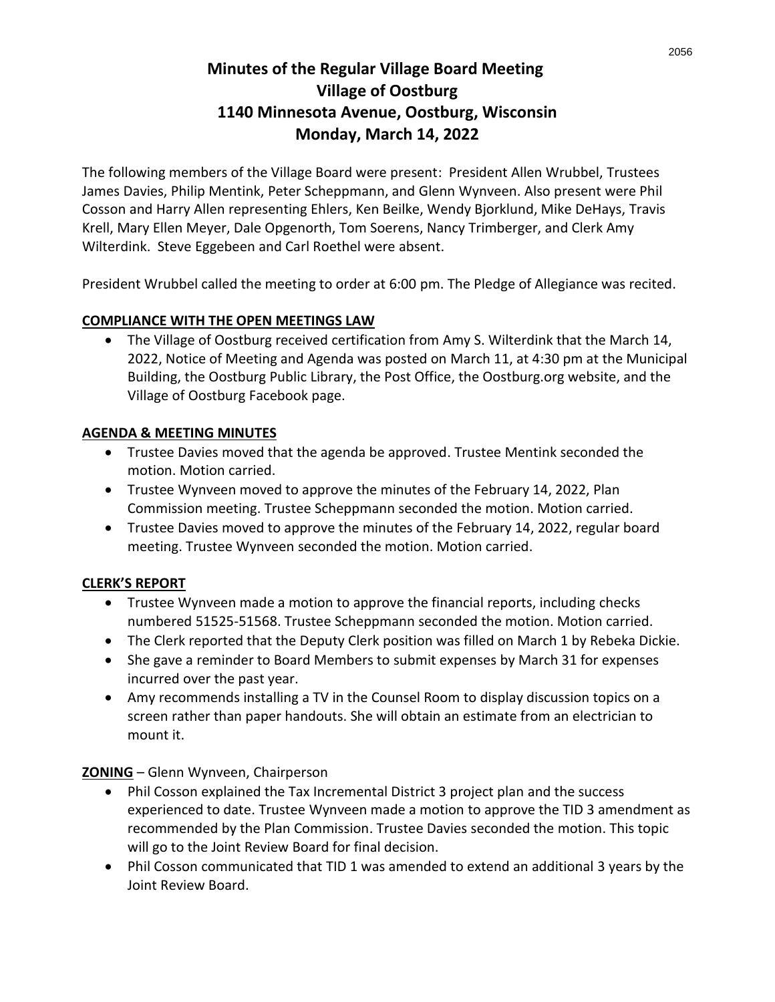# **Minutes of the Regular Village Board Meeting Village of Oostburg 1140 Minnesota Avenue, Oostburg, Wisconsin Monday, March 14, 2022**

The following members of the Village Board were present: President Allen Wrubbel, Trustees James Davies, Philip Mentink, Peter Scheppmann, and Glenn Wynveen. Also present were Phil Cosson and Harry Allen representing Ehlers, Ken Beilke, Wendy Bjorklund, Mike DeHays, Travis Krell, Mary Ellen Meyer, Dale Opgenorth, Tom Soerens, Nancy Trimberger, and Clerk Amy Wilterdink. Steve Eggebeen and Carl Roethel were absent.

President Wrubbel called the meeting to order at 6:00 pm. The Pledge of Allegiance was recited.

#### **COMPLIANCE WITH THE OPEN MEETINGS LAW**

• The Village of Oostburg received certification from Amy S. Wilterdink that the March 14, 2022, Notice of Meeting and Agenda was posted on March 11, at 4:30 pm at the Municipal Building, the Oostburg Public Library, the Post Office, the Oostburg.org website, and the Village of Oostburg Facebook page.

#### **AGENDA & MEETING MINUTES**

- Trustee Davies moved that the agenda be approved. Trustee Mentink seconded the motion. Motion carried.
- Trustee Wynveen moved to approve the minutes of the February 14, 2022, Plan Commission meeting. Trustee Scheppmann seconded the motion. Motion carried.
- Trustee Davies moved to approve the minutes of the February 14, 2022, regular board meeting. Trustee Wynveen seconded the motion. Motion carried.

## **CLERK'S REPORT**

- Trustee Wynveen made a motion to approve the financial reports, including checks numbered 51525-51568. Trustee Scheppmann seconded the motion. Motion carried.
- The Clerk reported that the Deputy Clerk position was filled on March 1 by Rebeka Dickie.
- She gave a reminder to Board Members to submit expenses by March 31 for expenses incurred over the past year.
- Amy recommends installing a TV in the Counsel Room to display discussion topics on a screen rather than paper handouts. She will obtain an estimate from an electrician to mount it.

## **ZONING** – Glenn Wynveen, Chairperson

- Phil Cosson explained the Tax Incremental District 3 project plan and the success experienced to date. Trustee Wynveen made a motion to approve the TID 3 amendment as recommended by the Plan Commission. Trustee Davies seconded the motion. This topic will go to the Joint Review Board for final decision.
- Phil Cosson communicated that TID 1 was amended to extend an additional 3 years by the Joint Review Board.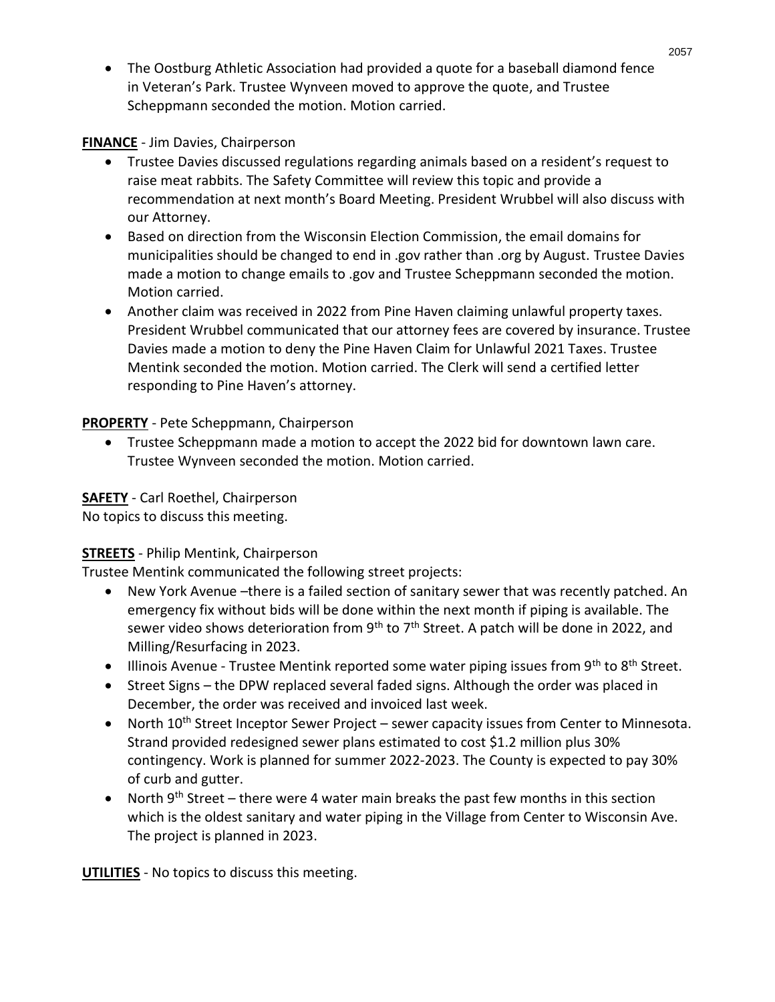• The Oostburg Athletic Association had provided a quote for a baseball diamond fence in Veteran's Park. Trustee Wynveen moved to approve the quote, and Trustee Scheppmann seconded the motion. Motion carried.

**FINANCE** - Jim Davies, Chairperson

- Trustee Davies discussed regulations regarding animals based on a resident's request to raise meat rabbits. The Safety Committee will review this topic and provide a recommendation at next month's Board Meeting. President Wrubbel will also discuss with our Attorney.
- Based on direction from the Wisconsin Election Commission, the email domains for municipalities should be changed to end in .gov rather than .org by August. Trustee Davies made a motion to change emails to .gov and Trustee Scheppmann seconded the motion. Motion carried.
- Another claim was received in 2022 from Pine Haven claiming unlawful property taxes. President Wrubbel communicated that our attorney fees are covered by insurance. Trustee Davies made a motion to deny the Pine Haven Claim for Unlawful 2021 Taxes. Trustee Mentink seconded the motion. Motion carried. The Clerk will send a certified letter responding to Pine Haven's attorney.

**PROPERTY** - Pete Scheppmann, Chairperson

• Trustee Scheppmann made a motion to accept the 2022 bid for downtown lawn care. Trustee Wynveen seconded the motion. Motion carried.

**SAFETY** - Carl Roethel, Chairperson

No topics to discuss this meeting.

# **STREETS** - Philip Mentink, Chairperson

Trustee Mentink communicated the following street projects:

- New York Avenue –there is a failed section of sanitary sewer that was recently patched. An emergency fix without bids will be done within the next month if piping is available. The sewer video shows deterioration from  $9<sup>th</sup>$  to  $7<sup>th</sup>$  Street. A patch will be done in 2022, and Milling/Resurfacing in 2023.
- Illinois Avenue Trustee Mentink reported some water piping issues from 9<sup>th</sup> to 8<sup>th</sup> Street.
- Street Signs the DPW replaced several faded signs. Although the order was placed in December, the order was received and invoiced last week.
- North  $10^{th}$  Street Inceptor Sewer Project sewer capacity issues from Center to Minnesota. Strand provided redesigned sewer plans estimated to cost \$1.2 million plus 30% contingency. Work is planned for summer 2022-2023. The County is expected to pay 30% of curb and gutter.
- North  $9<sup>th</sup>$  Street there were 4 water main breaks the past few months in this section which is the oldest sanitary and water piping in the Village from Center to Wisconsin Ave. The project is planned in 2023.

**UTILITIES** - No topics to discuss this meeting.